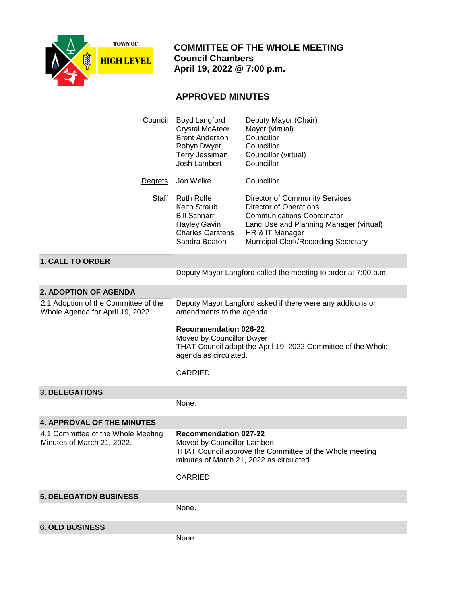

 **COMMITTEE OF THE WHOLE MEETING Council Chambers April 19, 2022 @ 7:00 p.m.**

## **APPROVED MINUTES**

| Council                                                                  | Boyd Langford<br><b>Crystal McAteer</b><br><b>Brent Anderson</b><br>Robyn Dwyer<br>Terry Jessiman<br>Josh Lambert                                  | Deputy Mayor (Chair)<br>Mayor (virtual)<br>Councillor<br>Councillor<br>Councillor (virtual)<br>Councillor                                                                                                        |
|--------------------------------------------------------------------------|----------------------------------------------------------------------------------------------------------------------------------------------------|------------------------------------------------------------------------------------------------------------------------------------------------------------------------------------------------------------------|
| Regrets                                                                  | Jan Welke                                                                                                                                          | Councillor                                                                                                                                                                                                       |
| <b>Staff</b>                                                             | <b>Ruth Rolfe</b><br><b>Keith Straub</b><br><b>Bill Schnarr</b><br><b>Hayley Gavin</b><br><b>Charles Carstens</b><br>Sandra Beaton                 | <b>Director of Community Services</b><br><b>Director of Operations</b><br><b>Communications Coordinator</b><br>Land Use and Planning Manager (virtual)<br>HR & IT Manager<br>Municipal Clerk/Recording Secretary |
| <b>1. CALL TO ORDER</b>                                                  |                                                                                                                                                    |                                                                                                                                                                                                                  |
|                                                                          |                                                                                                                                                    | Deputy Mayor Langford called the meeting to order at 7:00 p.m.                                                                                                                                                   |
| <b>2. ADOPTION OF AGENDA</b>                                             |                                                                                                                                                    |                                                                                                                                                                                                                  |
| 2.1 Adoption of the Committee of the<br>Whole Agenda for April 19, 2022. | amendments to the agenda.                                                                                                                          | Deputy Mayor Langford asked if there were any additions or                                                                                                                                                       |
|                                                                          | <b>Recommendation 026-22</b><br>Moved by Councillor Dwyer<br>THAT Council adopt the April 19, 2022 Committee of the Whole<br>agenda as circulated. |                                                                                                                                                                                                                  |
|                                                                          |                                                                                                                                                    |                                                                                                                                                                                                                  |
|                                                                          | <b>CARRIED</b>                                                                                                                                     |                                                                                                                                                                                                                  |
| <b>3. DELEGATIONS</b>                                                    |                                                                                                                                                    |                                                                                                                                                                                                                  |
|                                                                          | None.                                                                                                                                              |                                                                                                                                                                                                                  |
| <b>4. APPROVAL OF THE MINUTES</b>                                        |                                                                                                                                                    |                                                                                                                                                                                                                  |
| 4.1 Committee of the Whole Meeting<br>Minutes of March 21, 2022.         | <b>Recommendation 027-22</b><br>Moved by Councillor Lambert<br>CARRIED                                                                             | THAT Council approve the Committee of the Whole meeting<br>minutes of March 21, 2022 as circulated.                                                                                                              |
| <b>5. DELEGATION BUSINESS</b>                                            |                                                                                                                                                    |                                                                                                                                                                                                                  |
|                                                                          | None.                                                                                                                                              |                                                                                                                                                                                                                  |
| <b>6. OLD BUSINESS</b>                                                   |                                                                                                                                                    |                                                                                                                                                                                                                  |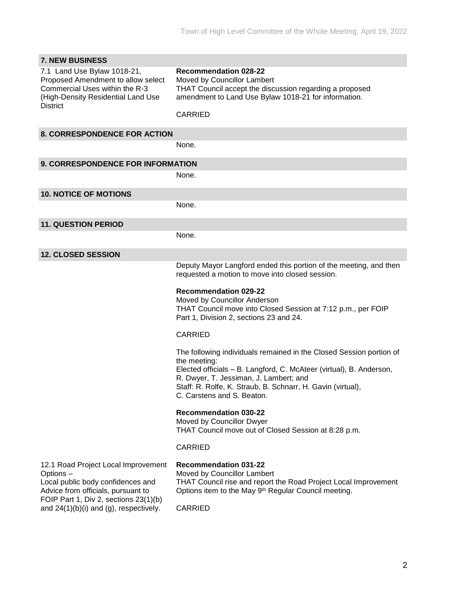| <b>7. NEW BUSINESS</b>                                                                                                                                       |                                                                                                                                                                                                                                                                                                                                                                                                                                          |
|--------------------------------------------------------------------------------------------------------------------------------------------------------------|------------------------------------------------------------------------------------------------------------------------------------------------------------------------------------------------------------------------------------------------------------------------------------------------------------------------------------------------------------------------------------------------------------------------------------------|
| 7.1 Land Use Bylaw 1018-21,<br>Proposed Amendment to allow select<br>Commercial Uses within the R-3<br>(High-Density Residential Land Use<br><b>District</b> | <b>Recommendation 028-22</b><br>Moved by Councillor Lambert<br>THAT Council accept the discussion regarding a proposed<br>amendment to Land Use Bylaw 1018-21 for information.<br><b>CARRIED</b>                                                                                                                                                                                                                                         |
| <b>8. CORRESPONDENCE FOR ACTION</b>                                                                                                                          |                                                                                                                                                                                                                                                                                                                                                                                                                                          |
|                                                                                                                                                              | None.                                                                                                                                                                                                                                                                                                                                                                                                                                    |
| 9. CORRESPONDENCE FOR INFORMATION                                                                                                                            |                                                                                                                                                                                                                                                                                                                                                                                                                                          |
|                                                                                                                                                              | None.                                                                                                                                                                                                                                                                                                                                                                                                                                    |
| <b>10. NOTICE OF MOTIONS</b>                                                                                                                                 |                                                                                                                                                                                                                                                                                                                                                                                                                                          |
|                                                                                                                                                              | None.                                                                                                                                                                                                                                                                                                                                                                                                                                    |
| <b>11. QUESTION PERIOD</b>                                                                                                                                   |                                                                                                                                                                                                                                                                                                                                                                                                                                          |
|                                                                                                                                                              | None.                                                                                                                                                                                                                                                                                                                                                                                                                                    |
| <b>12. CLOSED SESSION</b>                                                                                                                                    |                                                                                                                                                                                                                                                                                                                                                                                                                                          |
|                                                                                                                                                              | Deputy Mayor Langford ended this portion of the meeting, and then<br>requested a motion to move into closed session.<br><b>Recommendation 029-22</b><br>Moved by Councillor Anderson<br>THAT Council move into Closed Session at 7:12 p.m., per FOIP<br>Part 1, Division 2, sections 23 and 24.<br><b>CARRIED</b>                                                                                                                        |
|                                                                                                                                                              | The following individuals remained in the Closed Session portion of<br>the meeting:<br>Elected officials - B. Langford, C. McAteer (virtual), B. Anderson,<br>R. Dwyer, T. Jessiman, J. Lambert; and<br>Staff: R. Rolfe, K. Straub, B. Schnarr, H. Gavin (virtual),<br>C. Carstens and S. Beaton.<br><b>Recommendation 030-22</b><br>Moved by Councillor Dwyer<br>THAT Council move out of Closed Session at 8:28 p.m.<br><b>CARRIED</b> |